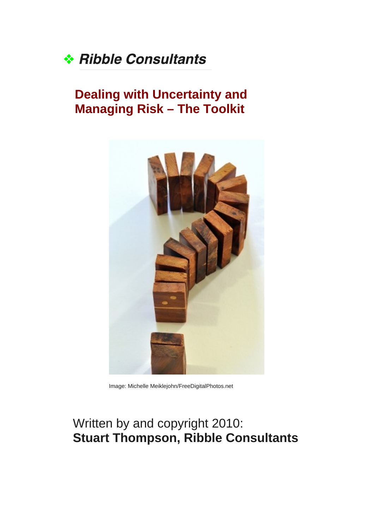# **❖ Ribble Consultants**

## **Dealing with Uncertainty and Managing Risk – The Toolkit**



Image: Michelle Meiklejohn/FreeDigitalPhotos.net

## Written by and copyright 2010: **Stuart Thompson, Ribble Consultants**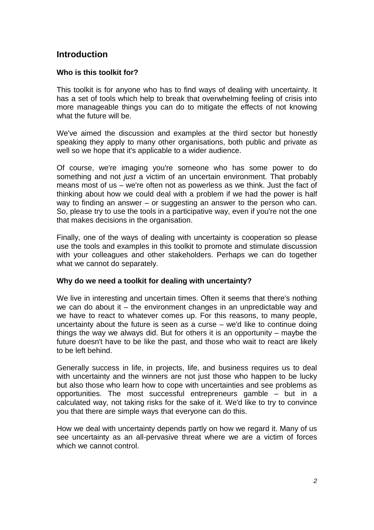#### **Introduction**

#### **Who is this toolkit for?**

This toolkit is for anyone who has to find ways of dealing with uncertainty. It has a set of tools which help to break that overwhelming feeling of crisis into more manageable things you can do to mitigate the effects of not knowing what the future will be.

We've aimed the discussion and examples at the third sector but honestly speaking they apply to many other organisations, both public and private as well so we hope that it's applicable to a wider audience.

Of course, we're imaging you're someone who has some power to do something and not *just* a victim of an uncertain environment. That probably means most of us – we're often not as powerless as we think. Just the fact of thinking about how we could deal with a problem if we had the power is half way to finding an answer – or suggesting an answer to the person who can. So, please try to use the tools in a participative way, even if you're not the one that makes decisions in the organisation.

Finally, one of the ways of dealing with uncertainty is cooperation so please use the tools and examples in this toolkit to promote and stimulate discussion with your colleagues and other stakeholders. Perhaps we can do together what we cannot do separately.

#### **Why do we need a toolkit for dealing with uncertainty?**

We live in interesting and uncertain times. Often it seems that there's nothing we can do about it – the environment changes in an unpredictable way and we have to react to whatever comes up. For this reasons, to many people, uncertainty about the future is seen as a curse – we'd like to continue doing things the way we always did. But for others it is an opportunity – maybe the future doesn't have to be like the past, and those who wait to react are likely to be left behind.

Generally success in life, in projects, life, and business requires us to deal with uncertainty and the winners are not just those who happen to be lucky but also those who learn how to cope with uncertainties and see problems as opportunities. The most successful entrepreneurs gamble – but in a calculated way, not taking risks for the sake of it. We'd like to try to convince you that there are simple ways that everyone can do this.

How we deal with uncertainty depends partly on how we regard it. Many of us see uncertainty as an all-pervasive threat where we are a victim of forces which we cannot control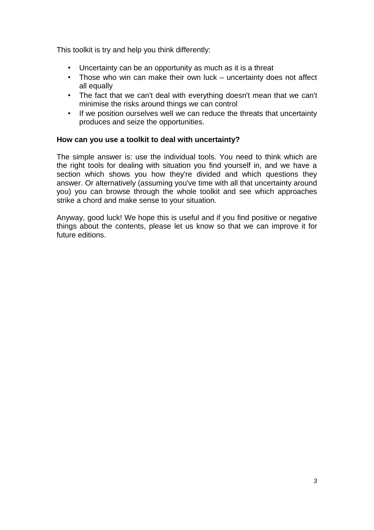This toolkit is try and help you think differently:

- Uncertainty can be an opportunity as much as it is a threat
- Those who win can make their own luck uncertainty does not affect all equally
- The fact that we can't deal with everything doesn't mean that we can't minimise the risks around things we can control
- If we position ourselves well we can reduce the threats that uncertainty produces and seize the opportunities.

#### **How can you use a toolkit to deal with uncertainty?**

The simple answer is: use the individual tools. You need to think which are the right tools for dealing with situation you find yourself in, and we have a section which shows you how they're divided and which questions they answer. Or alternatively (assuming you've time with all that uncertainty around you) you can browse through the whole toolkit and see which approaches strike a chord and make sense to your situation.

Anyway, good luck! We hope this is useful and if you find positive or negative things about the contents, please let us know so that we can improve it for future editions.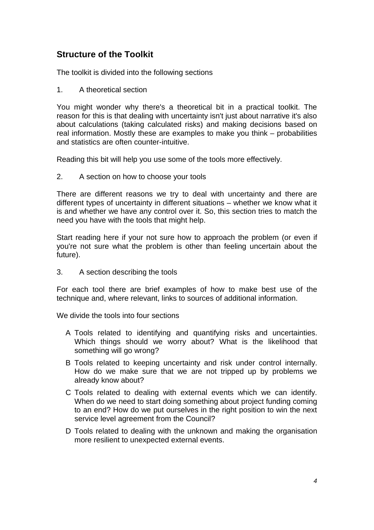#### **Structure of the Toolkit**

The toolkit is divided into the following sections

1. A theoretical section

You might wonder why there's a theoretical bit in a practical toolkit. The reason for this is that dealing with uncertainty isn't just about narrative it's also about calculations (taking calculated risks) and making decisions based on real information. Mostly these are examples to make you think – probabilities and statistics are often counter-intuitive.

Reading this bit will help you use some of the tools more effectively.

2. A section on how to choose your tools

There are different reasons we try to deal with uncertainty and there are different types of uncertainty in different situations – whether we know what it is and whether we have any control over it. So, this section tries to match the need you have with the tools that might help.

Start reading here if your not sure how to approach the problem (or even if you're not sure what the problem is other than feeling uncertain about the future).

3. A section describing the tools

For each tool there are brief examples of how to make best use of the technique and, where relevant, links to sources of additional information.

We divide the tools into four sections

- A Tools related to identifying and quantifying risks and uncertainties. Which things should we worry about? What is the likelihood that something will go wrong?
- B Tools related to keeping uncertainty and risk under control internally. How do we make sure that we are not tripped up by problems we already know about?
- C Tools related to dealing with external events which we can identify. When do we need to start doing something about project funding coming to an end? How do we put ourselves in the right position to win the next service level agreement from the Council?
- D Tools related to dealing with the unknown and making the organisation more resilient to unexpected external events.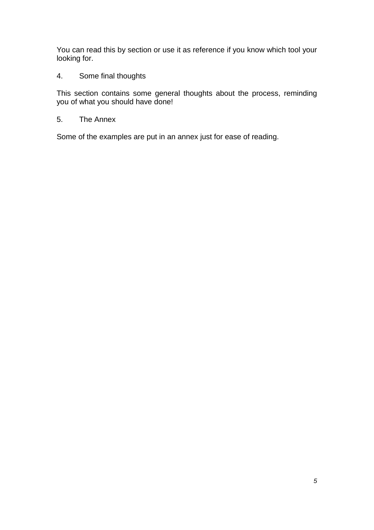You can read this by section or use it as reference if you know which tool your looking for.

4. Some final thoughts

This section contains some general thoughts about the process, reminding you of what you should have done!

5. The Annex

Some of the examples are put in an annex just for ease of reading.